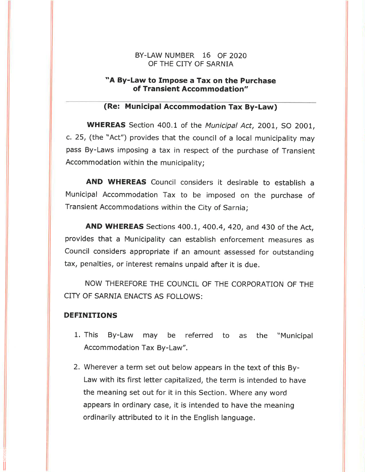### BY-LAW NUMBER 16 OF 2O2O OF THE CITY OF SARNIA

# "A By-Law to Impose a Tax on the Purchase of Transient Accommodation"

# (Re: Municipal Accommodation Tax By-Law)

WHEREAS Section 400.1 of the Municipal Act, 2001, SO 2001, c.25, (the "Act") provides that the council of a local municipality may pass By-Laws imposing a tax in respect of the purchase of Transient Accommodation within the municipality;

AND WHEREAS Council consíders it desirable to establish <sup>a</sup> Municipal Accommodation Tax to be imposed on the purchase of Transient Accommodations within the City of Sarnia;

**AND WHEREAS** Sections 400.1, 400.4, 420, and 430 of the Act, provides that a Municipality can establish enforcement measures as Council considers appropriate if an amount assessed for outstanding tax, penalties, or interest remains unpaid after it is due.

NOW THEREFORE THE COUNCIL OF THE CORPORATION OF THE CITY OF SARNIA ENACTS AS FOLLOWS:

### DEFINITIONS

- 1. This By-Law may be referred to as the "Municipal Accommodation Tax By-Law".
- 2. Wherever a term set out below appears in the text of this By-Law with its first letter capitalized, the term is intended to have the meaning set out for it in this Section. Where any word appears in ordinary case, it is intended to have the meaning ordinarily attributed to it in the English language.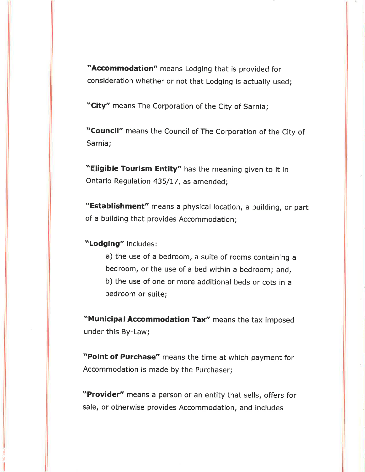"Accommodation" means Lodging that is provided for consideration whether or not that Lodging is actually used;

"City" means The Corporation of the City of Sarnia;

"Council" means the Council of The Corporation of the City of Sarnia;

"Eligible Tourism Entity" has the meaning given to it in Ontario Regulation 435/17, as amended;

"Establishment" means a physical location, a building, or part of a building that provides Accommodation;

"Lodging" íncludes:

a) the use of a bedroom, a suite of rooms containing <sup>a</sup> bedroom, or the use of a bed within a bedroom; and, b) the use of one or more additional beds or cots in <sup>a</sup> bedroom or suite;

"Municipal Accommodation Tax" means the tax imposed under this By-Law;

"Point of Purchase" means the time at which payment for Accommodation is made by the Purchaser;

"Provider" means a person or an entity that sells, offers for sale, or otherwise provides Accommodation, and includes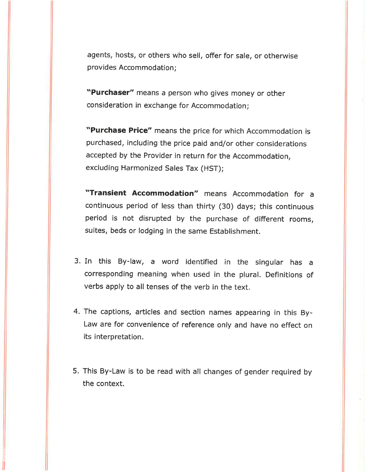agents, hosts, or others who sell, offer for sale, or otherwise provides Accommodation:

"Purchaser" means a person who gives money or other consideration in exchange for Accommodation;

"Purchase Price" means the price for which Accommodation is purchased, including the price paid and/or other considerations accepted by the Provider in return for the Accommodation, excluding Harmonized Sales Tax (HST);

"Transient Accommodation" means Accommodation for <sup>a</sup> continuous period of less than thirty (30) days; this continuous period is not disrupted by the purchase of different rooms, suites, beds or lodging in the same Establishment.

- 3. In this By-law, a word identified in the singular has <sup>a</sup> corresponding meaning when used in the plural. Definitions of verbs apply to all tenses of the verb in the text.
- 4. The captions, articles and section names appearing in this By-Law are for convenience of reference only and have no effect on its interpretation.
- 5. This By-Law is to be read with all changes of gender required by the context.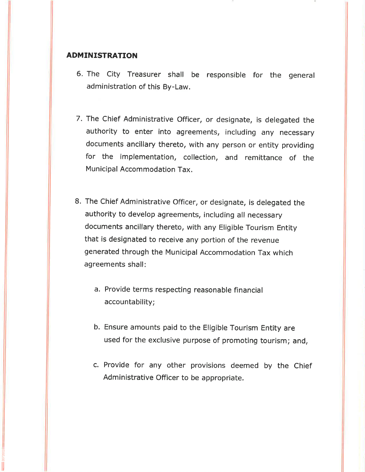### ADMINISTRATION

- 6. The city Treasurer shall be responsible for the general administration of this By-Law.
- 7. The Chief Administrative Officer, or designate, is delegated the authority to enter into agreements, including any necessary documents ancillary thereto, with any person or entity providing for the implementation, collection, and remittance of the Municipal Accommodatíon Tax.
- 8. The Chief Administrative Officer, or designate, is delegated the authority to develop agreements, including all necessary documents ancillary thereto, with any Eligible Tourism Entity that is designated to receive any portion of the revenue generated through the Municipal Accommodation Tax whích agreements shall:
	- a. Provide terms respectíng reasonable financial accountability;
	- b. Ensure amounts paid to the Eligible Tourism Entity are used for the exclusive purpose of promoting tourism; and,
	- c. Provide for any other provisions deemed by the Chief Administrative Officer to be appropriate.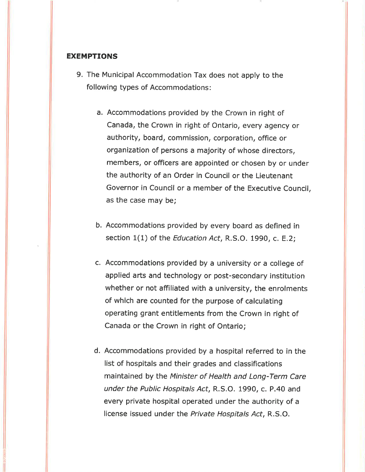### EXEMPTIONS

- 9. The Municipal Accommodation Tax does not apply to the following types of Accommodations:
	- a, Accommodations provided by the Crown in right of Canada, the Crown in right of Ontario, every agency or authority, board, commission, corporation, office or organization of persons a majority of whose directors, members, or officers are appointed or chosen by or under the authority of an Order in Council or the Lieutenant Governor in Council or a member of the Executive Council, as the case may be;
	- b. Accommodations provided by every board as defined in section  $1(1)$  of the *Education Act*, R.S.O. 1990, c. E.2;
	- c. Accommodations provided by a university or a college of applied arts and technology or post-secondary institution whether or not affiliated with a university, the enrolments of which are counted for the purpose of calculating operating grant entitlements from the Crown in right of Canada or the Crown in right of Ontario;
	- d. Accommodations provided by a hospital referred to in the list of hospitals and their grades and classifications maintained by the Minister of Health and Long-Term Care under the Public Hospitals Act, R.S.O. 1990, c. P.40 and every private hospital operated under the authority of <sup>a</sup> license issued under the Private Hospitals Act, R.S.O.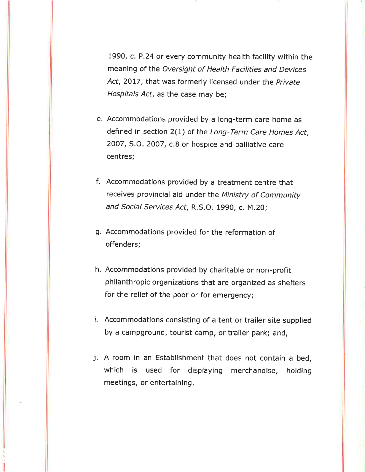1990, c. P.24 or every community health facility within the meaning of the Oversight of Health Facilities and Devices Act, 2017, that was formerly licensed under the Private Hospitals Act, as the case may be;

- e. Accommodations provided by a long-term care home as defined in section 2(1) of the Long-Term Care Homes Act, 2007, S.O. 2007, c.B or hospice and palliative care centres;
- <sup>f</sup>. Accommodations provided by a treatment centre that receives provincial aid under the Ministry of Community and Social Services Act, R.S.O. 1990, c. M.20;
- g. Accommodations provided for the reformation of offenders;
- h. Accommodatíons provided by charitable or non-profit philanthropic organizations that are organized as shelters for the relief of the poor or for emergency;
- i. Accommodations consisting of a tent or trailer site supplied by a campground, tourist camp, or trailer park; and,
- j. A room in an Establishment that does not contain a bed, which is used for displaying merchandise, holding meetings, or entertaining.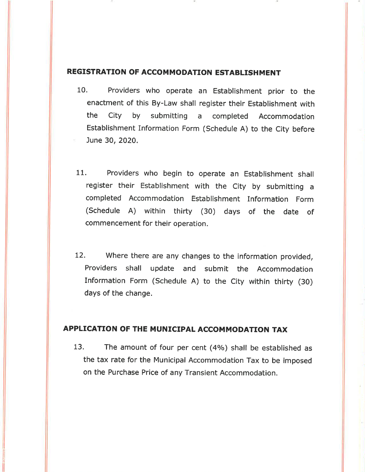### REGISTRATION OF ACCOMMODATION ESTABLISHMENT

- 10. Providers who operate an Establishment prior to the enactment of this By-Law shall register their Establishment with the City by submitting a completed Accommodation Establishment Information Form (schedule A) to the city before June 30,2020.
- 11. Providers who begin to operate an Establishment shall register their Establishment with the city by submitting <sup>a</sup> completed Accommodation Establishment Information Form (Schedule A) within thirty (30) days of the date of commencement for their operation.
- 12. Where there are any changes to the information provided, Providers shall update and submit the Accommodation Information Form (Schedule A) to the city within thirty (30) days of the change.

# APPLICATION OF THE MUNICIPAL ACCOMMODATION TAX

13. The amount of four per cent (4%) shall be established as the tax rate for the Municipal Accommodation Tax to be imposed on the Purchase Price of any Transient Accommodation.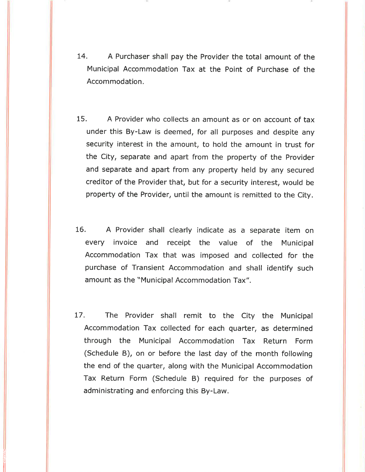- 14. A Purchaser shall pay the Provider the total amount of the Municipal Accommodation Tax at the Point of Purchase of the Accommodation.
- 15. A Provider who collects an amount as or on account of tax under this By-Law is deemed, for all purposes and despite any security interest in the amount, to hold the amount in trust for the City, separate and apart from the property of the Provider and separate and apart from any property held by any secured creditor of the Provider that, but for a security interest, would be property of the Provider, until the amount is remitted to the City.
- 16. A Provider shall clearly indicate as a separate item on every invoice and receipt the value of the Municipal Accommodation Tax that was imposed and collected for the purchase of Transient Accommodation and shall identify such amount as the "Municipal Accommodation Tax".
- 17. The Provider shall remit to the City the Municipal Accommodation Tax collected for each quarter, as determined through the Municipal Accommodation Tax Return Form (Schedule B), on or before the last day of the month following the end of the quarter, along with the Municipal Accommodation Tax Return Form (Schedule B) required for the purposes of administrating and enforcing this By-Law.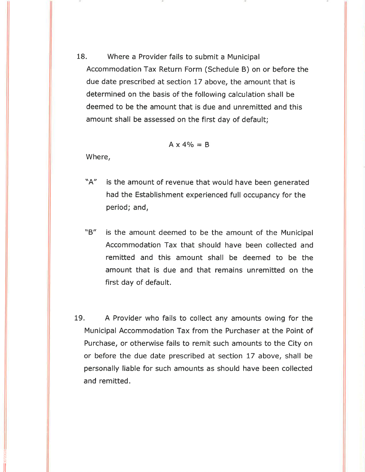18. Where a Provider fails to submit a Municipal Accommodation Tax Return Form (Schedule B) on or before the due date prescribed at section 17 above, the amount that is determined on the basis of the following calculation shall be deemed to be the amount that is due and unremitted and this amount shall be assessed on the first day of default;

$$
A \times 4\% = B
$$

Where,

- "A" is the amount of revenue that would have been generated had the Establishment experienced full occupancy for the period; and,
- "B" is the amount deemed to be the amount of the Municipal Accommodation Tax that should have been collected and remitted and this amount shall be deemed to be the amount that is due and that remains unremitted on the first day of default.
- 19. A Provider who fails to collect any amounts owing for the Municipal Accommodation Tax from the Purchaser at the Point of Purchase, or otherwise fails to remit such amounts to the City on or before the due date prescribed at section 17 above, shall be personally liable for such amounts as should have been collected and remitted.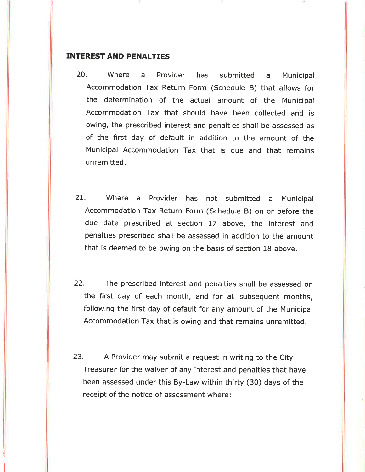### INTEREST AND PENALTIES

- 20. Where a Provider has submitted a Municipal Accommodation Tax Return Form (Schedule B) that allows for the determination of the actual amount of the Municipal Accommodation Tax that should have been collected and is owing, the prescribed interest and penalties shall be assessed as of the first day of default in addition to the amount of the Municipal Accommodation Tax that is due and that remains unremitted.
- 2L, Where a Provider has not submitted a Municipal Accommodation Tax Return Form (schedule B) on or before the due date prescribed at section L7 above, the interest and penalties prescribed shall be assessed in addition to the amount that is deemed to be owing on the basis of sectíon 18 above.
- 22. The prescribed interest and penalties shall be assessed on the first day of each month, and for all subsequent months, following the first day of default for any amount of the Municipal Accommodation Tax that is owing and that remains unremitted.
- 23. A Provider may submit a request in writing to the City Treasurer for the waiver of any interest and penalties that have been assessed under this By-Law within thirty (30) days of the receipt of the notice of assessment where: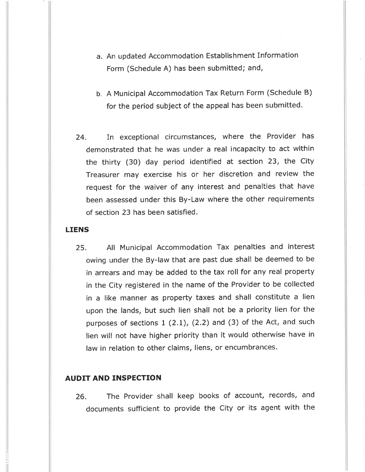- a. An updated Accommodation Establishment Information Form (Schedule A) has been submitted; and,
- b. A Municipal Accommodation Tax Return Form (Schedule B) for the period subject of the appeal has been submitted.
- 24. In exceptional circumstances, where the Provider has demonstrated that he was under a real incapacity to act within the thirty (30) day period identified at section 23, the City Treasurer may exercise his or her discretion and review the request for the waiver of any interest and penalties that have been assessed under this By-Law where the other requirements of section 23 has been satisfíed.

### LIENS

25. All Municipal Accommodation Tax penalties and interest owing under the By-law that are past due shall be deemed to be in arrears and may be added to the tax roll for any real property in the City registered in the name of the Provider to be collected in a like manner as property taxes and shall constitute a lien upon the lands, but such lien shall not be a priority lien for the purposes of sections 1 (2.L), (2.2) and (3) of the Act, and such lien will not have higher priority than it would otherwise have in law ín relation to other claims, liens, or encumbrances.

### AUDIT AND INSPECTION

26. The Provider shall keep books of account, records, and documents sufficient to provide the City or its agent with the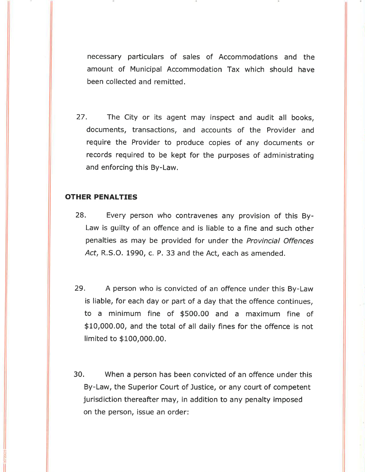necessary particulars of sales of Accommodations and the amount of Municipal Accommodation Tax which should have been collected and remitted.

27. The City or its agent may inspect and audit all books, documents, transactions, and accounts of the Provider and require the Provider to produce copies of any documents or records required to be kept for the purposes of administrating and enforcing this By-Law.

## OTHER PENALTIES

- 28. Every person who contravenes any provision of this By-Law is guilty of an offence and is liable to a fine and such other penalties as may be provided for under the Provincial Offences Act, R.S.O. 1990, c. P. 33 and the Act, each as amended.
- 29. A person who is convicted of an offence under this By-Law is liable, for each day or part of a day that the offence continues, to a minimum fine of \$500.00 and a maximum fine of \$10,000.00, and the total of all daily fines for the offence is not limited to \$100,000.00.
- 30. When a person has been convicted of an offence under this By-Law, the Superior Court of Justice, or any court of competent jurisdiction thereafter may, in addition to any penalty imposed on the person, issue an order: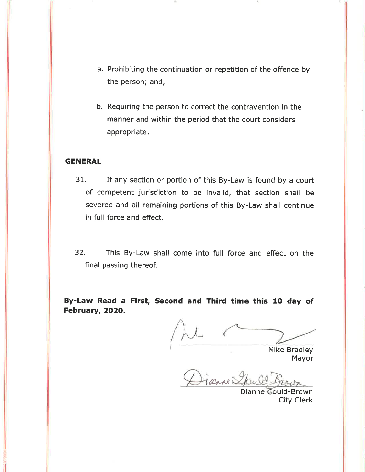- a. Prohibiting the continuation or repetition of the offence by the person; and,
- b. Requiring the person to correct the contravention in the manner and within the period that the court considers appropriate.

### **GENERAL**

- 31. If any section or portion of this By-Law is found by a court of competent jurisdiction to be invalid, that section shall be severed and all remaining portions of this By-Law shall continue in full force and effect.
- 32. This By-Law shall come into full force and effect on the final passing thereof.

By-Law Read a First, Second and Third time this 10 day of February, 2O2O.

Mike Bradley

Mayor

Diamely

Dianne Gould-Brown City Clerk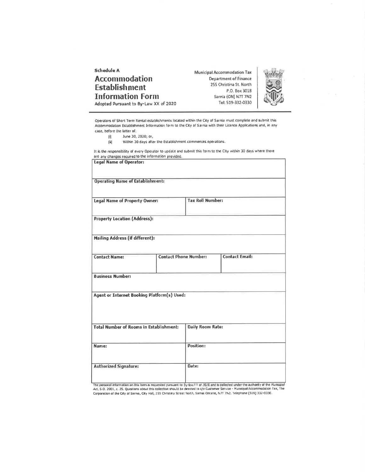Schedule A Accommodation **Establishment Information Form** Adopted Pursuant to By-Law XX of 2020

**Municipal Accommodation Tax** Department of Finance 255 Christína St. North P.O. Box 3018 Sarnia (ON) N7T 7N2 Tel: 519-332-0330



Operåtörs of Short Térm Rental establishments located within the City of Sarnia must complete and submit this Äccommodation Establishment Information form to the City of Sarnia with their Licence Applications and, in any case, before the latter of:

- 
- $\begin{array}{ll}\n\boxed{0} & \text{June 30, 2020; or,} \\
\boxed{ii} & \text{Within 30 days after}\n\end{array}$ Within 30 days after the Establishment commences operations.

It is the responsibility of every Operator to update and submit this form to the CIty within 30 days where there are any changes required to the information provided.

| Legal Name of Operator:                        |                              |                         |                       |  |  |
|------------------------------------------------|------------------------------|-------------------------|-----------------------|--|--|
| <b>Operating Name of Establishment:</b>        |                              |                         |                       |  |  |
| <b>Legal Name of Property Owner:</b>           |                              | <b>Tax Roll Number:</b> |                       |  |  |
| <b>Property Location (Address):</b>            |                              |                         |                       |  |  |
| <b>Mailing Address (if different):</b>         |                              |                         |                       |  |  |
| <b>Contact Name:</b>                           | <b>Contact Phone Number:</b> |                         | <b>Contact Email:</b> |  |  |
| <b>Business Number:</b>                        |                              |                         |                       |  |  |
| Agent or Internet Booking Platform(s) Used:    |                              |                         |                       |  |  |
| <b>Total Number of Rooms in Establishment:</b> |                              | <b>Daily Room Rate:</b> |                       |  |  |
| Name:                                          |                              | Position:               |                       |  |  |
| <b>Authorized Signature:</b>                   |                              | Date:                   |                       |  |  |

The personal information on this lorm is requested pursuant to By-law XX of 2020 and is collected under the authority of the Municipal<br>Act, 5.O. 2001, c. 25. Questions about this collection should be directed to c/o Custom Corporation of the City of Sarnia, City Hall, 255 Christina Street North, Sarnia Ontario, N7T 7N2. Telephone (919) 332-0330.